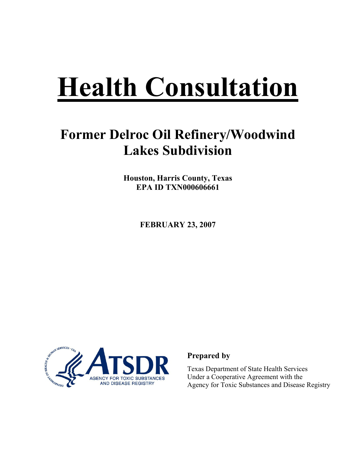# **Health Consultation**

## **Former Delroc Oil Refinery/Woodwind Lakes Subdivision**

**Houston, Harris County, Texas EPA ID TXN000606661** 

**FEBRUARY 23, 2007** 



#### **Prepared by**

Texas Department of State Health Services Under a Cooperative Agreement with the Agency for Toxic Substances and Disease Registry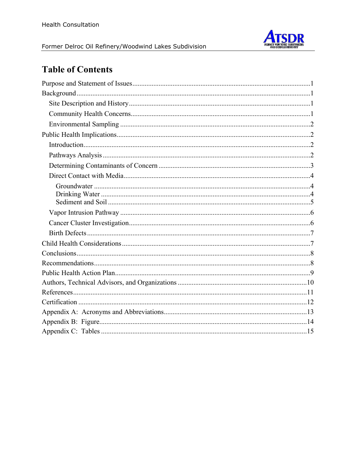

## **Table of Contents**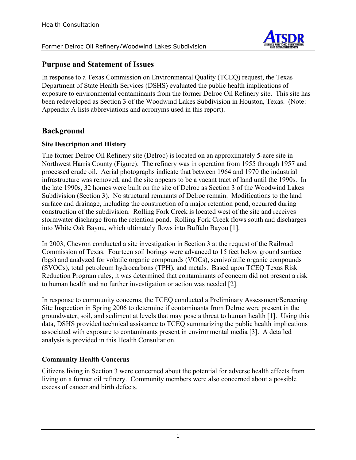

#### **Purpose and Statement of Issues**

In response to a Texas Commission on Environmental Quality (TCEQ) request, the Texas Department of State Health Services (DSHS) evaluated the public health implications of exposure to environmental contaminants from the former Delroc Oil Refinery site. This site has been redeveloped as Section 3 of the Woodwind Lakes Subdivision in Houston, Texas. (Note: Appendix A lists abbreviations and acronyms used in this report).

#### **Background**

#### **Site Description and History**

The former Delroc Oil Refinery site (Delroc) is located on an approximately 5-acre site in Northwest Harris County (Figure). The refinery was in operation from 1955 through 1957 and processed crude oil. Aerial photographs indicate that between 1964 and 1970 the industrial infrastructure was removed, and the site appears to be a vacant tract of land until the 1990s. In the late 1990s, 32 homes were built on the site of Delroc as Section 3 of the Woodwind Lakes Subdivision (Section 3). No structural remnants of Delroc remain. Modifications to the land surface and drainage, including the construction of a major retention pond, occurred during construction of the subdivision. Rolling Fork Creek is located west of the site and receives stormwater discharge from the retention pond. Rolling Fork Creek flows south and discharges into White Oak Bayou, which ultimately flows into Buffalo Bayou [1].

In 2003, Chevron conducted a site investigation in Section 3 at the request of the Railroad Commission of Texas. Fourteen soil borings were advanced to 15 feet below ground surface (bgs) and analyzed for volatile organic compounds (VOCs), semivolatile organic compounds (SVOCs), total petroleum hydrocarbons (TPH), and metals. Based upon TCEQ Texas Risk Reduction Program rules, it was determined that contaminants of concern did not present a risk to human health and no further investigation or action was needed [2].

In response to community concerns, the TCEQ conducted a Preliminary Assessment/Screening Site Inspection in Spring 2006 to determine if contaminants from Delroc were present in the groundwater, soil, and sediment at levels that may pose a threat to human health [1]. Using this data, DSHS provided technical assistance to TCEQ summarizing the public health implications associated with exposure to contaminants present in environmental media [3]. A detailed analysis is provided in this Health Consultation.

#### **Community Health Concerns**

Citizens living in Section 3 were concerned about the potential for adverse health effects from living on a former oil refinery. Community members were also concerned about a possible excess of cancer and birth defects.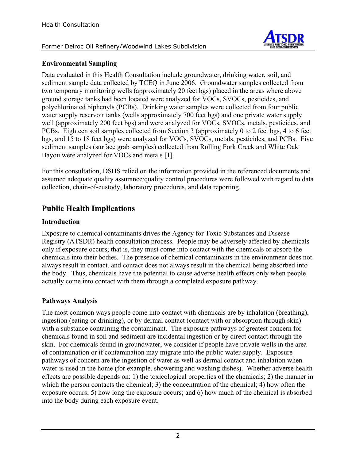

#### **Environmental Sampling**

Data evaluated in this Health Consultation include groundwater, drinking water, soil, and sediment sample data collected by TCEQ in June 2006. Groundwater samples collected from two temporary monitoring wells (approximately 20 feet bgs) placed in the areas where above ground storage tanks had been located were analyzed for VOCs, SVOCs, pesticides, and polychlorinated biphenyls (PCBs). Drinking water samples were collected from four public water supply reservoir tanks (wells approximately 700 feet bgs) and one private water supply well (approximately 200 feet bgs) and were analyzed for VOCs, SVOCs, metals, pesticides, and PCBs. Eighteen soil samples collected from Section 3 (approximately 0 to 2 feet bgs, 4 to 6 feet bgs, and 15 to 18 feet bgs) were analyzed for VOCs, SVOCs, metals, pesticides, and PCBs. Five sediment samples (surface grab samples) collected from Rolling Fork Creek and White Oak Bayou were analyzed for VOCs and metals [1].

For this consultation, DSHS relied on the information provided in the referenced documents and assumed adequate quality assurance/quality control procedures were followed with regard to data collection, chain-of-custody, laboratory procedures, and data reporting.

#### **Public Health Implications**

#### **Introduction**

Exposure to chemical contaminants drives the Agency for Toxic Substances and Disease Registry (ATSDR) health consultation process. People may be adversely affected by chemicals only if exposure occurs; that is, they must come into contact with the chemicals or absorb the chemicals into their bodies. The presence of chemical contaminants in the environment does not always result in contact, and contact does not always result in the chemical being absorbed into the body. Thus, chemicals have the potential to cause adverse health effects only when people actually come into contact with them through a completed exposure pathway.

#### **Pathways Analysis**

The most common ways people come into contact with chemicals are by inhalation (breathing), ingestion (eating or drinking), or by dermal contact (contact with or absorption through skin) with a substance containing the contaminant. The exposure pathways of greatest concern for chemicals found in soil and sediment are incidental ingestion or by direct contact through the skin. For chemicals found in groundwater, we consider if people have private wells in the area of contamination or if contamination may migrate into the public water supply. Exposure pathways of concern are the ingestion of water as well as dermal contact and inhalation when water is used in the home (for example, showering and washing dishes). Whether adverse health effects are possible depends on: 1) the toxicological properties of the chemicals; 2) the manner in which the person contacts the chemical; 3) the concentration of the chemical; 4) how often the exposure occurs; 5) how long the exposure occurs; and 6) how much of the chemical is absorbed into the body during each exposure event.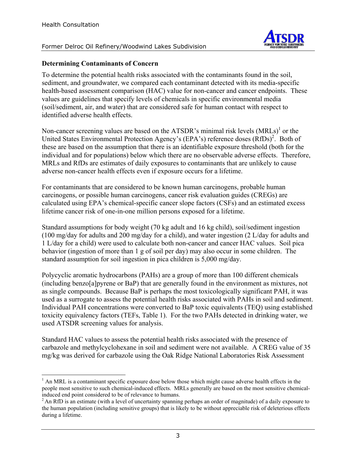

#### **Determining Contaminants of Concern**

To determine the potential health risks associated with the contaminants found in the soil, sediment, and groundwater, we compared each contaminant detected with its media-specific health-based assessment comparison (HAC) value for non-cancer and cancer endpoints. These values are guidelines that specify levels of chemicals in specific environmental media (soil/sediment, air, and water) that are considered safe for human contact with respect to identified adverse health effects.

Non-cancer screening values are based on the ATSDR's minimal risk levels  $(MRLs)^{1}$  or the United States Environmental Protection Agency's (EPA's) reference doses  $(RfDs)^2$ . Both of these are based on the assumption that there is an identifiable exposure threshold (both for the individual and for populations) below which there are no observable adverse effects. Therefore, MRLs and RfDs are estimates of daily exposures to contaminants that are unlikely to cause adverse non-cancer health effects even if exposure occurs for a lifetime.

For contaminants that are considered to be known human carcinogens, probable human carcinogens, or possible human carcinogens, cancer risk evaluation guides (CREGs) are calculated using EPA's chemical-specific cancer slope factors (CSFs) and an estimated excess lifetime cancer risk of one-in-one million persons exposed for a lifetime.

Standard assumptions for body weight (70 kg adult and 16 kg child), soil/sediment ingestion (100 mg/day for adults and 200 mg/day for a child), and water ingestion (2 L/day for adults and 1 L/day for a child) were used to calculate both non-cancer and cancer HAC values. Soil pica behavior (ingestion of more than 1 g of soil per day) may also occur in some children. The standard assumption for soil ingestion in pica children is 5,000 mg/day.

Polycyclic aromatic hydrocarbons (PAHs) are a group of more than 100 different chemicals (including benzo[a]pyrene or BaP) that are generally found in the environment as mixtures, not as single compounds. Because BaP is perhaps the most toxicologically significant PAH, it was used as a surrogate to assess the potential health risks associated with PAHs in soil and sediment. Individual PAH concentrations were converted to BaP toxic equivalents (TEQ) using established toxicity equivalency factors (TEFs, Table 1). For the two PAHs detected in drinking water, we used ATSDR screening values for analysis.

Standard HAC values to assess the potential health risks associated with the presence of carbazole and methylcyclohexane in soil and sediment were not available. A CREG value of 35 mg/kg was derived for carbazole using the Oak Ridge National Laboratories Risk Assessment

 $\overline{a}$ <sup>1</sup> An MRL is a contaminant specific exposure dose below those which might cause adverse health effects in the people most sensitive to such chemical-induced effects. MRLs generally are based on the most sensitive chemicalinduced end point considered to be of relevance to humans.

 $2$  An RfD is an estimate (with a level of uncertainty spanning perhaps an order of magnitude) of a daily exposure to the human population (including sensitive groups) that is likely to be without appreciable risk of deleterious effects during a lifetime.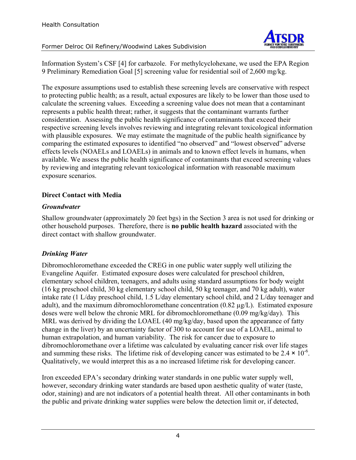

Information System's CSF [4] for carbazole. For methylcyclohexane, we used the EPA Region 9 Preliminary Remediation Goal [5] screening value for residential soil of 2,600 mg/kg.

The exposure assumptions used to establish these screening levels are conservative with respect to protecting public health; as a result, actual exposures are likely to be lower than those used to calculate the screening values. Exceeding a screening value does not mean that a contaminant represents a public health threat; rather, it suggests that the contaminant warrants further consideration. Assessing the public health significance of contaminants that exceed their respective screening levels involves reviewing and integrating relevant toxicological information with plausible exposures. We may estimate the magnitude of the public health significance by comparing the estimated exposures to identified "no observed" and "lowest observed" adverse effects levels (NOAELs and LOAELs) in animals and to known effect levels in humans, when available. We assess the public health significance of contaminants that exceed screening values by reviewing and integrating relevant toxicological information with reasonable maximum exposure scenarios.

#### **Direct Contact with Media**

#### *Groundwater*

Shallow groundwater (approximately 20 feet bgs) in the Section 3 area is not used for drinking or other household purposes. Therefore, there is **no public health hazard** associated with the direct contact with shallow groundwater.

#### *Drinking Water*

Dibromochloromethane exceeded the CREG in one public water supply well utilizing the Evangeline Aquifer. Estimated exposure doses were calculated for preschool children, elementary school children, teenagers, and adults using standard assumptions for body weight (16 kg preschool child, 30 kg elementary school child, 50 kg teenager, and 70 kg adult), water intake rate (1 L/day preschool child, 1.5 L/day elementary school child, and 2 L/day teenager and adult), and the maximum dibromochloromethane concentration (0.82 µg/L). Estimated exposure doses were well below the chronic MRL for dibromochloromethane (0.09 mg/kg/day). This MRL was derived by dividing the LOAEL (40 mg/kg/day, based upon the appearance of fatty change in the liver) by an uncertainty factor of 300 to account for use of a LOAEL, animal to human extrapolation, and human variability. The risk for cancer due to exposure to dibromochloromethane over a lifetime was calculated by evaluating cancer risk over life stages and summing these risks. The lifetime risk of developing cancer was estimated to be  $2.4 \times 10^{-6}$ . Qualitatively, we would interpret this as a no increased lifetime risk for developing cancer.

Iron exceeded EPA's secondary drinking water standards in one public water supply well, however, secondary drinking water standards are based upon aesthetic quality of water (taste, odor, staining) and are not indicators of a potential health threat. All other contaminants in both the public and private drinking water supplies were below the detection limit or, if detected,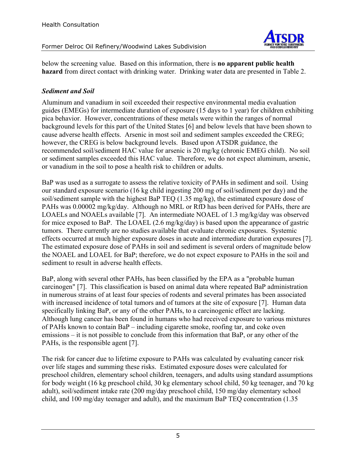

below the screening value. Based on this information, there is **no apparent public health hazard** from direct contact with drinking water. Drinking water data are presented in Table 2.

#### *Sediment and Soil*

Aluminum and vanadium in soil exceeded their respective environmental media evaluation guides (EMEGs) for intermediate duration of exposure (15 days to 1 year) for children exhibiting pica behavior. However, concentrations of these metals were within the ranges of normal background levels for this part of the United States [6] and below levels that have been shown to cause adverse health effects. Arsenic in most soil and sediment samples exceeded the CREG; however, the CREG is below background levels. Based upon ATSDR guidance, the recommended soil/sediment HAC value for arsenic is 20 mg/kg (chronic EMEG child). No soil or sediment samples exceeded this HAC value. Therefore, we do not expect aluminum, arsenic, or vanadium in the soil to pose a health risk to children or adults.

BaP was used as a surrogate to assess the relative toxicity of PAHs in sediment and soil. Using our standard exposure scenario (16 kg child ingesting 200 mg of soil/sediment per day) and the soil/sediment sample with the highest BaP TEQ (1.35 mg/kg), the estimated exposure dose of PAHs was 0.00002 mg/kg/day. Although no MRL or RfD has been derived for PAHs, there are LOAELs and NOAELs available [7]. An intermediate NOAEL of 1.3 mg/kg/day was observed for mice exposed to BaP. The LOAEL (2.6 mg/kg/day) is based upon the appearance of gastric tumors. There currently are no studies available that evaluate chronic exposures. Systemic effects occurred at much higher exposure doses in acute and intermediate duration exposures [7]. The estimated exposure dose of PAHs in soil and sediment is several orders of magnitude below the NOAEL and LOAEL for BaP; therefore, we do not expect exposure to PAHs in the soil and sediment to result in adverse health effects.

BaP, along with several other PAHs, has been classified by the EPA as a "probable human carcinogen" [7]. This classification is based on animal data where repeated BaP administration in numerous strains of at least four species of rodents and several primates has been associated with increased incidence of total tumors and of tumors at the site of exposure [7]. Human data specifically linking BaP, or any of the other PAHs, to a carcinogenic effect are lacking. Although lung cancer has been found in humans who had received exposure to various mixtures of PAHs known to contain BaP – including cigarette smoke, roofing tar, and coke oven emissions – it is not possible to conclude from this information that BaP, or any other of the PAHs, is the responsible agent [7].

The risk for cancer due to lifetime exposure to PAHs was calculated by evaluating cancer risk over life stages and summing these risks. Estimated exposure doses were calculated for preschool children, elementary school children, teenagers, and adults using standard assumptions for body weight (16 kg preschool child, 30 kg elementary school child, 50 kg teenager, and 70 kg adult), soil/sediment intake rate (200 mg/day preschool child, 150 mg/day elementary school child, and 100 mg/day teenager and adult), and the maximum BaP TEQ concentration (1.35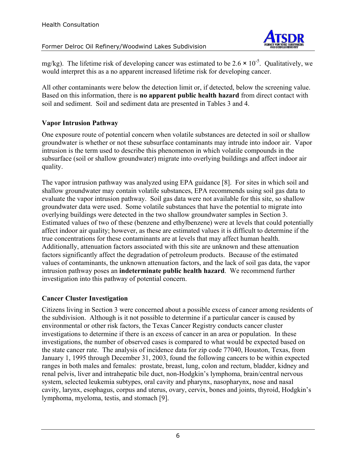

mg/kg). The lifetime risk of developing cancer was estimated to be  $2.6 \times 10^{-5}$ . Qualitatively, we would interpret this as a no apparent increased lifetime risk for developing cancer.

All other contaminants were below the detection limit or, if detected, below the screening value. Based on this information, there is **no apparent public health hazard** from direct contact with soil and sediment. Soil and sediment data are presented in Tables 3 and 4.

#### **Vapor Intrusion Pathway**

One exposure route of potential concern when volatile substances are detected in soil or shallow groundwater is whether or not these subsurface contaminants may intrude into indoor air. Vapor intrusion is the term used to describe this phenomenon in which volatile compounds in the subsurface (soil or shallow groundwater) migrate into overlying buildings and affect indoor air quality.

The vapor intrusion pathway was analyzed using EPA guidance [8]. For sites in which soil and shallow groundwater may contain volatile substances, EPA recommends using soil gas data to evaluate the vapor intrusion pathway. Soil gas data were not available for this site, so shallow groundwater data were used. Some volatile substances that have the potential to migrate into overlying buildings were detected in the two shallow groundwater samples in Section 3. Estimated values of two of these (benzene and ethylbenzene) were at levels that could potentially affect indoor air quality; however, as these are estimated values it is difficult to determine if the true concentrations for these contaminants are at levels that may affect human health. Additionally, attenuation factors associated with this site are unknown and these attenuation factors significantly affect the degradation of petroleum products. Because of the estimated values of contaminants, the unknown attenuation factors, and the lack of soil gas data, the vapor intrusion pathway poses an **indeterminate public health hazard**. We recommend further investigation into this pathway of potential concern.

#### **Cancer Cluster Investigation**

Citizens living in Section 3 were concerned about a possible excess of cancer among residents of the subdivision. Although is it not possible to determine if a particular cancer is caused by environmental or other risk factors, the Texas Cancer Registry conducts cancer cluster investigations to determine if there is an excess of cancer in an area or population. In these investigations, the number of observed cases is compared to what would be expected based on the state cancer rate. The analysis of incidence data for zip code 77040, Houston, Texas, from January 1, 1995 through December 31, 2003, found the following cancers to be within expected ranges in both males and females: prostate, breast, lung, colon and rectum, bladder, kidney and renal pelvis, liver and intrahepatic bile duct, non-Hodgkin's lymphoma, brain/central nervous system, selected leukemia subtypes, oral cavity and pharynx, nasopharynx, nose and nasal cavity, larynx, esophagus, corpus and uterus, ovary, cervix, bones and joints, thyroid, Hodgkin's lymphoma, myeloma, testis, and stomach [9].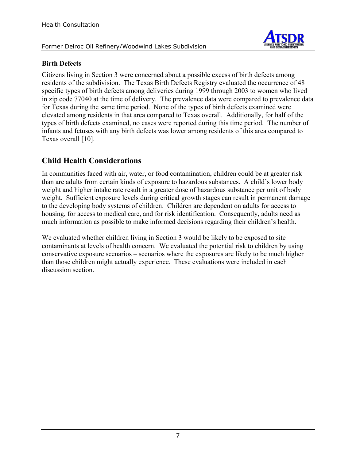

#### **Birth Defects**

Citizens living in Section 3 were concerned about a possible excess of birth defects among residents of the subdivision. The Texas Birth Defects Registry evaluated the occurrence of 48 specific types of birth defects among deliveries during 1999 through 2003 to women who lived in zip code 77040 at the time of delivery. The prevalence data were compared to prevalence data for Texas during the same time period. None of the types of birth defects examined were elevated among residents in that area compared to Texas overall. Additionally, for half of the types of birth defects examined, no cases were reported during this time period. The number of infants and fetuses with any birth defects was lower among residents of this area compared to Texas overall [10].

### **Child Health Considerations**

In communities faced with air, water, or food contamination, children could be at greater risk than are adults from certain kinds of exposure to hazardous substances. A child's lower body weight and higher intake rate result in a greater dose of hazardous substance per unit of body weight. Sufficient exposure levels during critical growth stages can result in permanent damage to the developing body systems of children. Children are dependent on adults for access to housing, for access to medical care, and for risk identification. Consequently, adults need as much information as possible to make informed decisions regarding their children's health.

We evaluated whether children living in Section 3 would be likely to be exposed to site contaminants at levels of health concern. We evaluated the potential risk to children by using conservative exposure scenarios – scenarios where the exposures are likely to be much higher than those children might actually experience. These evaluations were included in each discussion section.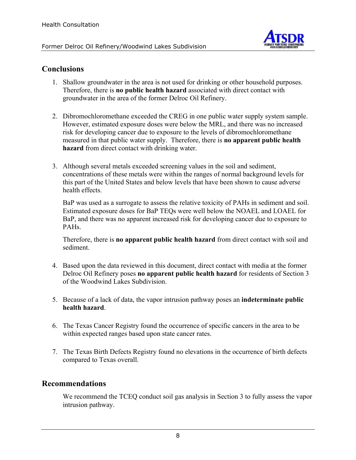

#### **Conclusions**

- 1. Shallow groundwater in the area is not used for drinking or other household purposes. Therefore, there is **no public health hazard** associated with direct contact with groundwater in the area of the former Delroc Oil Refinery.
- 2. Dibromochloromethane exceeded the CREG in one public water supply system sample. However, estimated exposure doses were below the MRL, and there was no increased risk for developing cancer due to exposure to the levels of dibromochloromethane measured in that public water supply. Therefore, there is **no apparent public health hazard** from direct contact with drinking water.
- 3. Although several metals exceeded screening values in the soil and sediment, concentrations of these metals were within the ranges of normal background levels for this part of the United States and below levels that have been shown to cause adverse health effects.

BaP was used as a surrogate to assess the relative toxicity of PAHs in sediment and soil. Estimated exposure doses for BaP TEQs were well below the NOAEL and LOAEL for BaP, and there was no apparent increased risk for developing cancer due to exposure to PAHs.

Therefore, there is **no apparent public health hazard** from direct contact with soil and sediment.

- 4. Based upon the data reviewed in this document, direct contact with media at the former Delroc Oil Refinery poses **no apparent public health hazard** for residents of Section 3 of the Woodwind Lakes Subdivision.
- 5. Because of a lack of data, the vapor intrusion pathway poses an **indeterminate public health hazard**.
- 6. The Texas Cancer Registry found the occurrence of specific cancers in the area to be within expected ranges based upon state cancer rates.
- 7. The Texas Birth Defects Registry found no elevations in the occurrence of birth defects compared to Texas overall.

#### **Recommendations**

We recommend the TCEQ conduct soil gas analysis in Section 3 to fully assess the vapor intrusion pathway.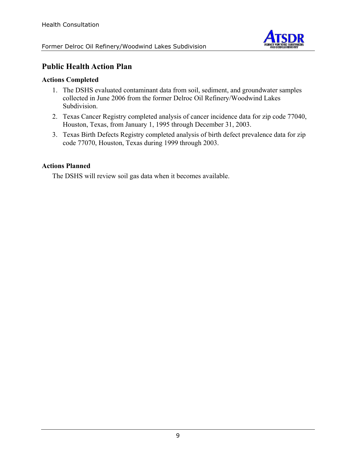

#### **Public Health Action Plan**

#### **Actions Completed**

- 1. The DSHS evaluated contaminant data from soil, sediment, and groundwater samples collected in June 2006 from the former Delroc Oil Refinery/Woodwind Lakes Subdivision.
- 2. Texas Cancer Registry completed analysis of cancer incidence data for zip code 77040, Houston, Texas, from January 1, 1995 through December 31, 2003.
- 3. Texas Birth Defects Registry completed analysis of birth defect prevalence data for zip code 77070, Houston, Texas during 1999 through 2003.

#### **Actions Planned**

The DSHS will review soil gas data when it becomes available.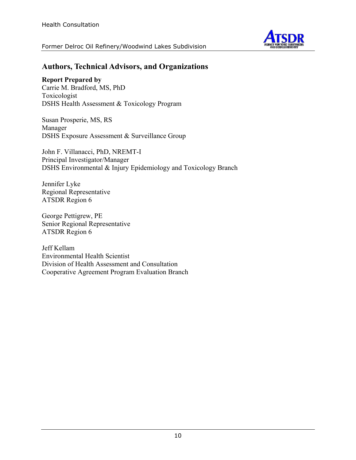

#### **Authors, Technical Advisors, and Organizations**

#### **Report Prepared by**

Carrie M. Bradford, MS, PhD Toxicologist DSHS Health Assessment & Toxicology Program

Susan Prosperie, MS, RS Manager DSHS Exposure Assessment & Surveillance Group

John F. Villanacci, PhD, NREMT-I Principal Investigator/Manager DSHS Environmental & Injury Epidemiology and Toxicology Branch

Jennifer Lyke Regional Representative ATSDR Region 6

George Pettigrew, PE Senior Regional Representative ATSDR Region 6

Jeff Kellam Environmental Health Scientist Division of Health Assessment and Consultation Cooperative Agreement Program Evaluation Branch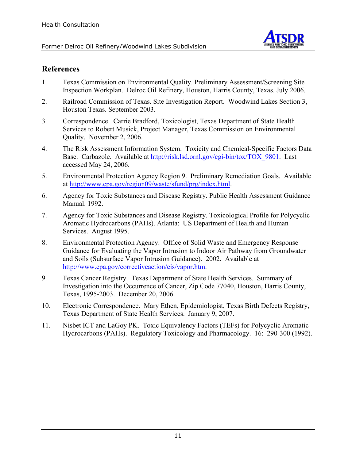

#### **References**

- 1. Texas Commission on Environmental Quality. Preliminary Assessment/Screening Site Inspection Workplan. Delroc Oil Refinery, Houston, Harris County, Texas. July 2006.
- 2. Railroad Commission of Texas. Site Investigation Report. Woodwind Lakes Section 3, Houston Texas. September 2003.
- 3. Correspondence. Carrie Bradford, Toxicologist, Texas Department of State Health Services to Robert Musick, Project Manager, Texas Commission on Environmental Quality. November 2, 2006.
- 4. The Risk Assessment Information System. Toxicity and Chemical-Specific Factors Data Base. Carbazole. Available at http://risk.lsd.ornl.gov/cgi-bin/tox/TOX\_9801. Last accessed May 24, 2006.
- 5. Environmental Protection Agency Region 9. Preliminary Remediation Goals. Available at http://www.epa.gov/region09/waste/sfund/prg/index.html.
- 6. Agency for Toxic Substances and Disease Registry. Public Health Assessment Guidance Manual. 1992.
- 7. Agency for Toxic Substances and Disease Registry. Toxicological Profile for Polycyclic Aromatic Hydrocarbons (PAHs). Atlanta: US Department of Health and Human Services. August 1995.
- 8. Environmental Protection Agency. Office of Solid Waste and Emergency Response Guidance for Evaluating the Vapor Intrusion to Indoor Air Pathway from Groundwater and Soils (Subsurface Vapor Intrusion Guidance). 2002. Available at http://www.epa.gov/correctiveaction/eis/vapor.htm.
- 9. Texas Cancer Registry. Texas Department of State Health Services. Summary of Investigation into the Occurrence of Cancer, Zip Code 77040, Houston, Harris County, Texas, 1995-2003. December 20, 2006.
- 10. Electronic Correspondence. Mary Ethen, Epidemiologist, Texas Birth Defects Registry, Texas Department of State Health Services. January 9, 2007.
- 11. Nisbet ICT and LaGoy PK. Toxic Equivalency Factors (TEFs) for Polycyclic Aromatic Hydrocarbons (PAHs). Regulatory Toxicology and Pharmacology. 16: 290-300 (1992).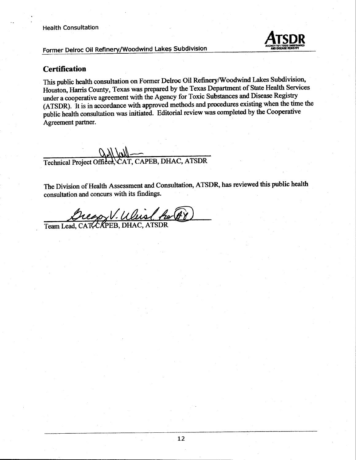

#### **Certification**

This public health consultation on Former Delroc Oil Refinery/Woodwind Lakes Subdivision, Houston, Harris County, Texas was prepared by the Texas Department of State Health Services under a cooperative agreement with the Agency for Toxic Substances and Disease Registry (ATSDR). It is in accordance with approved methods and procedures existing when the time the public health consultation was initiated. Editorial review was completed by the Cooperative Agreement partner.

Technical Project Officer CAT, CAPEB, DHAC, ATSDR

The Division of Health Assessment and Consultation, ATSDR, has reviewed this public health consultation and concurs with its findings.

Dregor V. Whis Pro (A)

12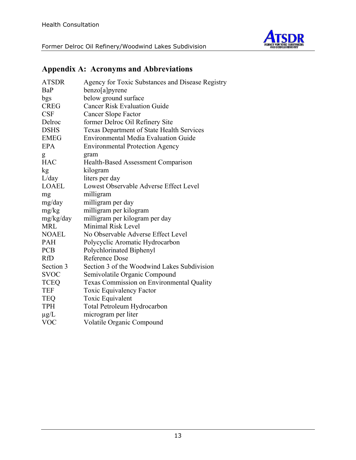



## **Appendix A: Acronyms and Abbreviations**

| <b>ATSDR</b> | Agency for Toxic Substances and Disease Registry |
|--------------|--------------------------------------------------|
| BaP          | benzo[a]pyrene                                   |
| bgs          | below ground surface                             |
| <b>CREG</b>  | <b>Cancer Risk Evaluation Guide</b>              |
| <b>CSF</b>   | Cancer Slope Factor                              |
| Delroc       | former Delroc Oil Refinery Site                  |
| <b>DSHS</b>  | Texas Department of State Health Services        |
| <b>EMEG</b>  | <b>Environmental Media Evaluation Guide</b>      |
| <b>EPA</b>   | <b>Environmental Protection Agency</b>           |
| g            | gram                                             |
| <b>HAC</b>   | <b>Health-Based Assessment Comparison</b>        |
| kg           | kilogram                                         |
| L/day        | liters per day                                   |
| <b>LOAEL</b> | Lowest Observable Adverse Effect Level           |
| mg           | milligram                                        |
| mg/day       | milligram per day                                |
| mg/kg        | milligram per kilogram                           |
| mg/kg/day    | milligram per kilogram per day                   |
| <b>MRL</b>   | Minimal Risk Level                               |
| <b>NOAEL</b> | No Observable Adverse Effect Level               |
| <b>PAH</b>   | Polycyclic Aromatic Hydrocarbon                  |
| <b>PCB</b>   | Polychlorinated Biphenyl                         |
| <b>RfD</b>   | <b>Reference Dose</b>                            |
| Section 3    | Section 3 of the Woodwind Lakes Subdivision      |
| <b>SVOC</b>  | Semivolatile Organic Compound                    |
| <b>TCEQ</b>  | Texas Commission on Environmental Quality        |
| <b>TEF</b>   | <b>Toxic Equivalency Factor</b>                  |
| <b>TEQ</b>   | Toxic Equivalent                                 |
| <b>TPH</b>   | Total Petroleum Hydrocarbon                      |
| $\mu$ g/L    | microgram per liter                              |
| <b>VOC</b>   | <b>Volatile Organic Compound</b>                 |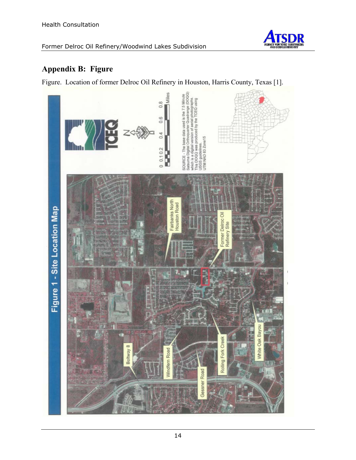

#### **Appendix B: Figure**

Figure. Location of former Delroc Oil Refinery in Houston, Harris County, Texas [1].

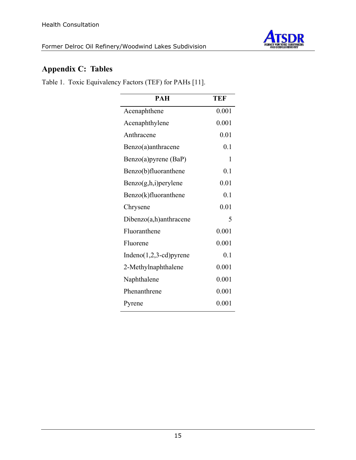

## **Appendix C: Tables**

Table 1. Toxic Equivalency Factors (TEF) for PAHs [11].

| <b>PAH</b>                | <b>TEF</b> |
|---------------------------|------------|
| Acenaphthene              | 0.001      |
| Acenaphthylene            | 0.001      |
| Anthracene                | 0.01       |
| Benzo(a)anthracene        | 0.1        |
| Benzo(a)pyrene (BaP)      | 1          |
| Benzo(b)fluoranthene      | 0.1        |
| $Benzo(g,h,i)$ perylene   | 0.01       |
| Benzo(k)fluoranthene      | 0.1        |
| Chrysene                  | 0.01       |
| $Dibenzo(a,h)$ anthracene | 5          |
| Fluoranthene              | 0.001      |
| Fluorene                  | 0.001      |
| $Indeno(1,2,3-cd)pyrene$  | 0.1        |
| 2-Methylnaphthalene       | 0.001      |
| Naphthalene               | 0.001      |
| Phenanthrene              | 0.001      |
| Pyrene                    | 0.001      |